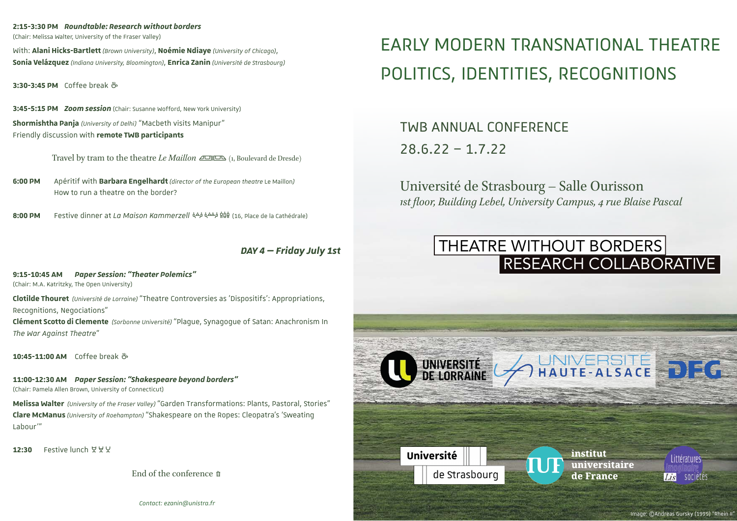### **2:15-3:30 PM** *Roundtable: Research without borders*

(Chair: Melissa Walter, University of the Fraser Valley)

With: **Alani Hicks-Bartlett** *(Brown University)*, **Noémie Ndiaye** *(University of Chicago)*, **Sonia Velázquez** *(Indiana University, Bloomington)*, **Enrica Zanin** *(Université de Srasbourg)*

**3:30-3:45 PM** Coffee break k

**3:45-5:15 PM** *Zoom session* (Chair: Susanne Wofford, New York University) **Shormishtha Panja** *(University of Delhi)* "Macbeth visits Manipur" Friendly discussion with **remote TWB participants**

Travel by tram to the theatre *Le Maillon*  $\Box$  (1, Boulevard de Dresde)

**6:00 PM** Apéritif with **Barbara Engelhardt** *(director of the European theatre* Le Maillon*)* How to run a theatre on the border?

**8:00 PM** Festive dinner at *La Maison Kammerzell*YZ% (16, Place de la Cathédrale)

# *DAY 4 — Friday July 1st*

#### **9:15-10:45 AM** *Paper Session: "Theater Polemics"*

(Chair: M.A. Katritzky, The Open University)

**Clotilde Thouret** *(Université de Lorraine)*"Theatre Controversies as 'Dispositifs': Appropriations, Recognitions, Negociations"

**Clément Scotto di Clemente** *(Sorbonne Université)*"Plague, Synagogue of Satan: Anachronism In *The War Against Theatre*"

**10:45-11:00 AM** Coffee break k

**11:00-12:30 AM** *Paper Session: "Shakespeare beyond borders"*  (Chair: Pamela Allen Brown, University of Connecticut)

**Melissa Walter** *(University of the Fraser Valley)* "Garden Transformations: Plants, Pastoral, Stories" **Clare McManus** *(University of Roehampton)*"Shakespeare on the Ropes: Cleopatra's 'Sweating Labour'"

 $12:30$  Festive lunch  $\forall \forall$ 

End of the conference z

EARLY MODERN TRANSNATIONAL THEATRE POLITICS, IDENTITIES, RECOGNITIONS

TWB ANNUAL CONFERENCE 28.6.22 – 1.7.22

Université de Strasbourg – Salle Ourisson *1st �loor, Building Lebel, University Campus, 4 rue Blaise Pascal*

# RESEARCH COLLABORATIVE THEATRE WITHOUT BORDERS



*Contact: ezanin@unistra.fr*